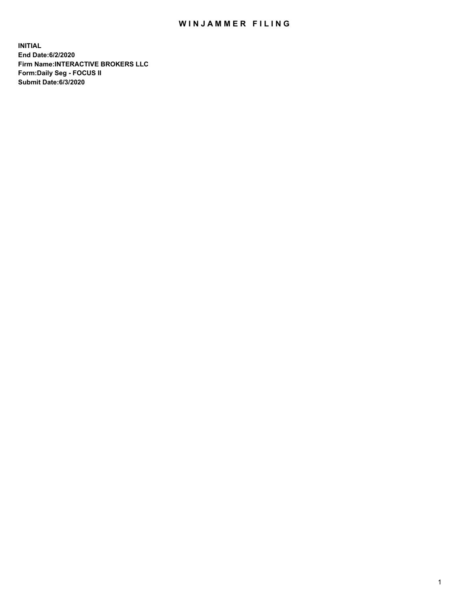## WIN JAMMER FILING

**INITIAL End Date:6/2/2020 Firm Name:INTERACTIVE BROKERS LLC Form:Daily Seg - FOCUS II Submit Date:6/3/2020**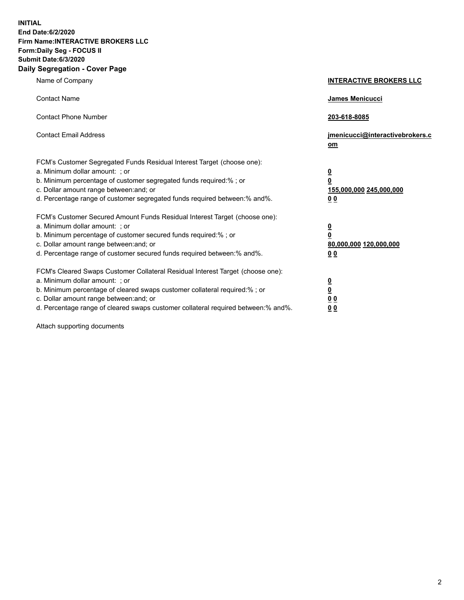**INITIAL End Date:6/2/2020 Firm Name:INTERACTIVE BROKERS LLC Form:Daily Seg - FOCUS II Submit Date:6/3/2020 Daily Segregation - Cover Page**

| Name of Company                                                                                                                                                                                                                                                                                                                | <b>INTERACTIVE BROKERS LLC</b>                                                                 |
|--------------------------------------------------------------------------------------------------------------------------------------------------------------------------------------------------------------------------------------------------------------------------------------------------------------------------------|------------------------------------------------------------------------------------------------|
| <b>Contact Name</b>                                                                                                                                                                                                                                                                                                            | James Menicucci                                                                                |
| <b>Contact Phone Number</b>                                                                                                                                                                                                                                                                                                    | 203-618-8085                                                                                   |
| <b>Contact Email Address</b>                                                                                                                                                                                                                                                                                                   | jmenicucci@interactivebrokers.c<br>om                                                          |
| FCM's Customer Segregated Funds Residual Interest Target (choose one):<br>a. Minimum dollar amount: ; or<br>b. Minimum percentage of customer segregated funds required:% ; or<br>c. Dollar amount range between: and; or<br>d. Percentage range of customer segregated funds required between: % and %.                       | $\overline{\mathbf{0}}$<br>$\overline{\mathbf{0}}$<br>155,000,000 245,000,000<br><u>00</u>     |
| FCM's Customer Secured Amount Funds Residual Interest Target (choose one):<br>a. Minimum dollar amount: ; or<br>b. Minimum percentage of customer secured funds required:%; or<br>c. Dollar amount range between: and; or<br>d. Percentage range of customer secured funds required between:% and%.                            | $\overline{\mathbf{0}}$<br>$\overline{\mathbf{0}}$<br>80,000,000 120,000,000<br>0 <sub>0</sub> |
| FCM's Cleared Swaps Customer Collateral Residual Interest Target (choose one):<br>a. Minimum dollar amount: ; or<br>b. Minimum percentage of cleared swaps customer collateral required:% ; or<br>c. Dollar amount range between: and; or<br>d. Percentage range of cleared swaps customer collateral required between:% and%. | $\frac{0}{0}$<br>$\underline{0}$ $\underline{0}$<br>0 <sub>0</sub>                             |

Attach supporting documents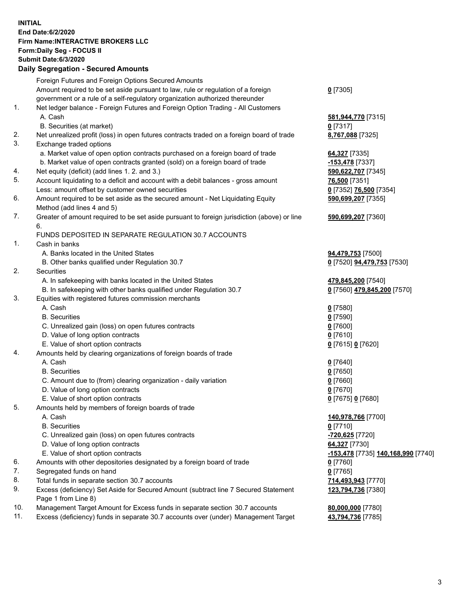## **INITIAL End Date:6/2/2020 Firm Name:INTERACTIVE BROKERS LLC Form:Daily Seg - FOCUS II Submit Date:6/3/2020 Daily Segregation - Secured Amounts**

|     | <u>ovgrvgation ovodrod Annount</u>                                                          |                                                 |
|-----|---------------------------------------------------------------------------------------------|-------------------------------------------------|
|     | Foreign Futures and Foreign Options Secured Amounts                                         |                                                 |
|     | Amount required to be set aside pursuant to law, rule or regulation of a foreign            | $0$ [7305]                                      |
|     | government or a rule of a self-regulatory organization authorized thereunder                |                                                 |
| 1.  | Net ledger balance - Foreign Futures and Foreign Option Trading - All Customers             |                                                 |
|     | A. Cash                                                                                     | 581,944,770 [7315]                              |
|     | B. Securities (at market)                                                                   | $0$ [7317]                                      |
| 2.  | Net unrealized profit (loss) in open futures contracts traded on a foreign board of trade   | 8,767,088 [7325]                                |
| 3.  | Exchange traded options                                                                     |                                                 |
|     | a. Market value of open option contracts purchased on a foreign board of trade              | 64,327 [7335]                                   |
|     | b. Market value of open contracts granted (sold) on a foreign board of trade                | -153,478 [7337]                                 |
| 4.  | Net equity (deficit) (add lines 1. 2. and 3.)                                               | 590,622,707 [7345]                              |
| 5.  | Account liquidating to a deficit and account with a debit balances - gross amount           | 76,500 [7351]                                   |
|     | Less: amount offset by customer owned securities                                            | 0 [7352] 76,500 [7354]                          |
| 6.  | Amount required to be set aside as the secured amount - Net Liquidating Equity              | 590,699,207 [7355]                              |
|     | Method (add lines 4 and 5)                                                                  |                                                 |
| 7.  | Greater of amount required to be set aside pursuant to foreign jurisdiction (above) or line | 590,699,207 [7360]                              |
|     | 6.                                                                                          |                                                 |
|     | FUNDS DEPOSITED IN SEPARATE REGULATION 30.7 ACCOUNTS                                        |                                                 |
| 1.  | Cash in banks                                                                               |                                                 |
|     | A. Banks located in the United States                                                       | 94,479,753 [7500]                               |
| 2.  | B. Other banks qualified under Regulation 30.7                                              | 0 [7520] 94,479,753 [7530]                      |
|     | Securities<br>A. In safekeeping with banks located in the United States                     |                                                 |
|     | B. In safekeeping with other banks qualified under Regulation 30.7                          | 479,845,200 [7540]                              |
| 3.  | Equities with registered futures commission merchants                                       | 0 [7560] 479,845,200 [7570]                     |
|     | A. Cash                                                                                     | $0$ [7580]                                      |
|     | <b>B.</b> Securities                                                                        | $0$ [7590]                                      |
|     | C. Unrealized gain (loss) on open futures contracts                                         | $0$ [7600]                                      |
|     | D. Value of long option contracts                                                           | $0$ [7610]                                      |
|     | E. Value of short option contracts                                                          | 0 [7615] 0 [7620]                               |
| 4.  | Amounts held by clearing organizations of foreign boards of trade                           |                                                 |
|     | A. Cash                                                                                     | $0$ [7640]                                      |
|     | <b>B.</b> Securities                                                                        | $0$ [7650]                                      |
|     | C. Amount due to (from) clearing organization - daily variation                             | $0$ [7660]                                      |
|     | D. Value of long option contracts                                                           | $0$ [7670]                                      |
|     | E. Value of short option contracts                                                          | 0 [7675] 0 [7680]                               |
| 5.  | Amounts held by members of foreign boards of trade                                          |                                                 |
|     | A. Cash                                                                                     | 140,978,766 [7700]                              |
|     | <b>B.</b> Securities                                                                        | $0$ [7710]                                      |
|     | C. Unrealized gain (loss) on open futures contracts                                         | -720,625 [7720]                                 |
|     | D. Value of long option contracts                                                           | 64,327 [7730]                                   |
|     | E. Value of short option contracts                                                          | <mark>-153,478</mark> [7735] 140,168,990 [7740] |
| 6.  | Amounts with other depositories designated by a foreign board of trade                      | $0$ [7760]                                      |
| 7.  | Segregated funds on hand                                                                    | $0$ [7765]                                      |
| 8.  | Total funds in separate section 30.7 accounts                                               | 714,493,943 [7770]                              |
| 9.  | Excess (deficiency) Set Aside for Secured Amount (subtract line 7 Secured Statement         | 123,794,736 [7380]                              |
|     | Page 1 from Line 8)                                                                         |                                                 |
| 10. | Management Target Amount for Excess funds in separate section 30.7 accounts                 | 80,000,000 [7780]                               |
| 11. | Excess (deficiency) funds in separate 30.7 accounts over (under) Management Target          | 43,794,736 [7785]                               |
|     |                                                                                             |                                                 |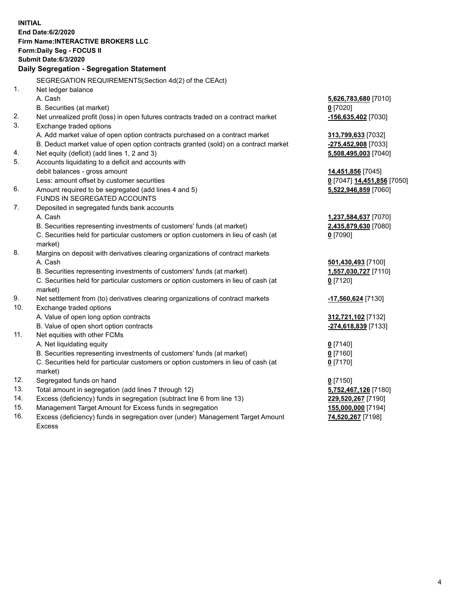**INITIAL End Date:6/2/2020 Firm Name:INTERACTIVE BROKERS LLC Form:Daily Seg - FOCUS II Submit Date:6/3/2020 Daily Segregation - Segregation Statement** SEGREGATION REQUIREMENTS(Section 4d(2) of the CEAct) 1. Net ledger balance A. Cash **5,626,783,680** [7010] B. Securities (at market) **0** [7020] 2. Net unrealized profit (loss) in open futures contracts traded on a contract market **-156,635,402** [7030] 3. Exchange traded options A. Add market value of open option contracts purchased on a contract market **313,799,633** [7032] B. Deduct market value of open option contracts granted (sold) on a contract market **-275,452,908** [7033] 4. Net equity (deficit) (add lines 1, 2 and 3) **5,508,495,003** [7040] 5. Accounts liquidating to a deficit and accounts with debit balances - gross amount **14,451,856** [7045] Less: amount offset by customer securities **0** [7047] **14,451,856** [7050] 6. Amount required to be segregated (add lines 4 and 5) **5,522,946,859** [7060] FUNDS IN SEGREGATED ACCOUNTS 7. Deposited in segregated funds bank accounts A. Cash **1,237,584,637** [7070] B. Securities representing investments of customers' funds (at market) **2,435,879,630** [7080] C. Securities held for particular customers or option customers in lieu of cash (at market) **0** [7090] 8. Margins on deposit with derivatives clearing organizations of contract markets A. Cash **501,430,493** [7100] B. Securities representing investments of customers' funds (at market) **1,557,030,727** [7110] C. Securities held for particular customers or option customers in lieu of cash (at market) **0** [7120] 9. Net settlement from (to) derivatives clearing organizations of contract markets **-17,560,624** [7130] 10. Exchange traded options A. Value of open long option contracts **312,721,102** [7132] B. Value of open short option contracts **-274,618,839** [7133] 11. Net equities with other FCMs A. Net liquidating equity **0** [7140] B. Securities representing investments of customers' funds (at market) **0** [7160] C. Securities held for particular customers or option customers in lieu of cash (at market) **0** [7170] 12. Segregated funds on hand **0** [7150] 13. Total amount in segregation (add lines 7 through 12) **5,752,467,126** [7180] 14. Excess (deficiency) funds in segregation (subtract line 6 from line 13) **229,520,267** [7190] 15. Management Target Amount for Excess funds in segregation **155,000,000** [7194] 16. Excess (deficiency) funds in segregation over (under) Management Target Amount **74,520,267** [7198]

Excess